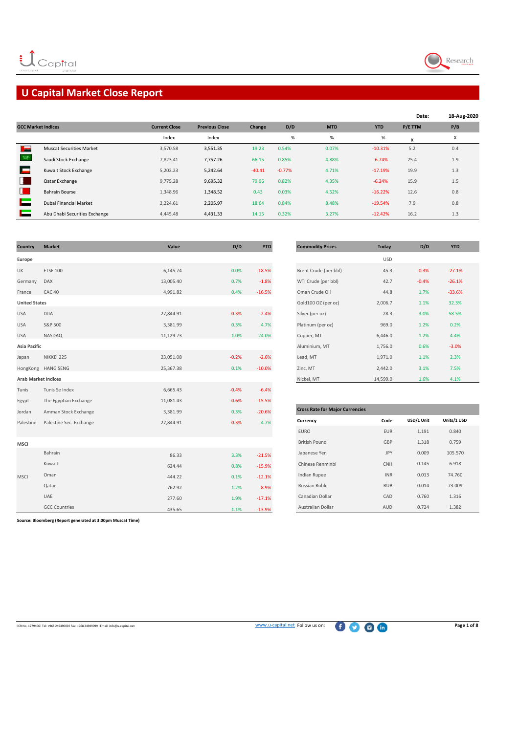

## **U Capital Market Close Report**

|                           |                                 |                      |                       |          |          |            |            | Date:   | 18-Aug-2020 |
|---------------------------|---------------------------------|----------------------|-----------------------|----------|----------|------------|------------|---------|-------------|
| <b>GCC Market Indices</b> |                                 | <b>Current Close</b> | <b>Previous Close</b> | Change   | D/D      | <b>MTD</b> | <b>YTD</b> | P/E TTM | P/B         |
|                           |                                 | Index                | Index                 |          | $\%$     | %          | $\%$       | X       | Х           |
| السالة                    | <b>Muscat Securities Market</b> | 3,570.58             | 3,551.35              | 19.23    | 0.54%    | 0.07%      | $-10.31%$  | 5.2     | 0.4         |
|                           | Saudi Stock Exchange            | 7,823.41             | 7,757.26              | 66.15    | 0.85%    | 4.88%      | $-6.74%$   | 25.4    | 1.9         |
|                           | Kuwait Stock Exchange           | 5.202.23             | 5,242.64              | $-40.41$ | $-0.77%$ | 4.71%      | $-17.19%$  | 19.9    | 1.3         |
| в                         | Qatar Exchange                  | 9,775.28             | 9,695.32              | 79.96    | 0.82%    | 4.35%      | $-6.24%$   | 15.9    | 1.5         |
| н.                        | <b>Bahrain Bourse</b>           | 1,348.96             | 1,348.52              | 0.43     | 0.03%    | 4.52%      | $-16.22%$  | 12.6    | 0.8         |
|                           | Dubai Financial Market          | 2.224.61             | 2,205.97              | 18.64    | 0.84%    | 8.48%      | $-19.54%$  | 7.9     | 0.8         |
|                           | Abu Dhabi Securities Exchange   | 4,445.48             | 4,431.33              | 14.15    | 0.32%    | 3.27%      | $-12.42%$  | 16.2    | 1.3         |

| Country                    | <b>Market</b>           | Value     | D/D     | <b>YTD</b> | <b>Commodity Prices</b>                | <b>Today</b> | D/D        | <b>YTD</b>  |
|----------------------------|-------------------------|-----------|---------|------------|----------------------------------------|--------------|------------|-------------|
| Europe                     |                         |           |         |            |                                        | <b>USD</b>   |            |             |
| UK                         | <b>FTSE 100</b>         | 6,145.74  | 0.0%    | $-18.5%$   | Brent Crude (per bbl)                  | 45.3         | $-0.3%$    | $-27.1%$    |
| Germany                    | DAX                     | 13,005.40 | 0.7%    | $-1.8%$    | WTI Crude (per bbl)                    | 42.7         | $-0.4%$    | $-26.1%$    |
| France                     | CAC <sub>40</sub>       | 4,991.82  | 0.4%    | $-16.5%$   | Oman Crude Oil                         | 44.8         | 1.7%       | $-33.6%$    |
| <b>United States</b>       |                         |           |         |            | Gold100 OZ (per oz)                    | 2,006.7      | 1.1%       | 32.3%       |
| <b>USA</b>                 | <b>DJIA</b>             | 27,844.91 | $-0.3%$ | $-2.4%$    | Silver (per oz)                        | 28.3         | 3.0%       | 58.5%       |
| <b>USA</b>                 | S&P 500                 | 3,381.99  | 0.3%    | 4.7%       | Platinum (per oz)                      | 969.0        | 1.2%       | 0.2%        |
| <b>USA</b>                 | NASDAQ                  | 11,129.73 | 1.0%    | 24.0%      | Copper, MT                             | 6,446.0      | 1.2%       | 4.4%        |
| <b>Asia Pacific</b>        |                         |           |         |            | Aluminium, MT                          | 1,756.0      | 0.6%       | $-3.0%$     |
| Japan                      | NIKKEI 225              | 23,051.08 | $-0.2%$ | $-2.6%$    | Lead, MT                               | 1,971.0      | 1.1%       | 2.3%        |
|                            | HongKong HANG SENG      | 25,367.38 | 0.1%    | $-10.0%$   | Zinc, MT                               | 2,442.0      | 3.1%       | 7.5%        |
| <b>Arab Market Indices</b> |                         |           |         |            | Nickel, MT                             | 14,599.0     | 1.6%       | 4.1%        |
| Tunis                      | Tunis Se Index          | 6,665.43  | $-0.4%$ | $-6.4%$    |                                        |              |            |             |
| Egypt                      | The Egyptian Exchange   | 11,081.43 | $-0.6%$ | $-15.5%$   |                                        |              |            |             |
| Jordan                     | Amman Stock Exchange    | 3,381.99  | 0.3%    | $-20.6%$   | <b>Cross Rate for Major Currencies</b> |              |            |             |
| Palestine                  | Palestine Sec. Exchange | 27,844.91 | $-0.3%$ | 4.7%       | Currency                               | Code         | USD/1 Unit | Units/1 USD |
|                            |                         |           |         |            | <b>EURO</b>                            | EUR          | 1.191      | 0.840       |
| <b>MSCI</b>                |                         |           |         |            | <b>British Pound</b>                   | GBP          | 1.318      | 0.759       |
|                            | Bahrain                 | 86.33     | 3.3%    | $-21.5%$   | Japanese Yen                           | JPY          | 0.009      | 105.570     |
|                            | Kuwait                  | 624.44    | 0.8%    | $-15.9%$   | Chinese Renminbi                       | CNH          | 0.145      | 6.918       |
| <b>MSCI</b>                | Oman                    | 444.22    | 0.1%    | $-12.1%$   | Indian Rupee                           | <b>INR</b>   | 0.013      | 74.760      |
|                            | Qatar                   | 762.92    | 1.2%    | $-8.9%$    | Russian Ruble                          | <b>RUB</b>   | 0.014      | 73.009      |
|                            | UAE                     | 277.60    | 1.9%    | $-17.1%$   | Canadian Dollar                        | CAD          | 0.760      | 1.316       |
|                            | <b>GCC Countries</b>    | 435.65    | 1.1%    | $-13.9%$   | Australian Dollar                      | AUD          | 0.724      | 1.382       |

| <b>Commodity Prices</b> | Today        | D/D     | <b>YTD</b> |
|-------------------------|--------------|---------|------------|
|                         | <b>USD</b>   |         |            |
| Brent Crude (per bbl)   | 45.3         | $-0.3%$ | $-27.1%$   |
| WTI Crude (per bbl)     | 42.7         | $-0.4%$ | $-26.1%$   |
| Oman Crude Oil          | 44.8         | 1.7%    | $-33.6%$   |
| Gold100 OZ (per oz)     | 2,006.7      | 1.1%    | 32.3%      |
| Silver (per oz)         | 28.3         | 3.0%    | 58.5%      |
| Platinum (per oz)       | 969.0        | 1.2%    | 0.2%       |
| Copper, MT              | 6,446.0      | 1.2%    | 4.4%       |
| Aluminium, MT           | 1,756.0      | 0.6%    | $-3.0%$    |
| Lead, MT                | 1,971.0      | 1.1%    | 2.3%       |
| Zinc, MT                | 2,442.0      | 3.1%    | 7.5%       |
|                         | $-1 - 0 - 0$ | $ -$    | 1.001      |

| <b>Cross Rate for Major Currencies</b> |            |            |             |
|----------------------------------------|------------|------------|-------------|
| Currency                               | Code       | USD/1 Unit | Units/1 USD |
| <b>EURO</b>                            | <b>EUR</b> | 1.191      | 0.840       |
| <b>British Pound</b>                   | GBP        | 1.318      | 0.759       |
| Japanese Yen                           | <b>JPY</b> | 0.009      | 105.570     |
| Chinese Renminbi                       | <b>CNH</b> | 0.145      | 6.918       |
| <b>Indian Rupee</b>                    | <b>INR</b> | 0.013      | 74.760      |
| Russian Ruble                          | <b>RUB</b> | 0.014      | 73.009      |
| Canadian Dollar                        | CAD        | 0.760      | 1.316       |
| <b>Australian Dollar</b>               | AUD        | 0.724      | 1.382       |

**Source: Bloomberg (Report generated at 3:00pm Muscat Time)**

ICR No. 1279406 l Tel: +968 24949000 l Fax: +968 24949099 l Email: info@u-capital.net [www](http://www.u-capital.net/).u-capital.net Follow us on: **Page 1 of 8**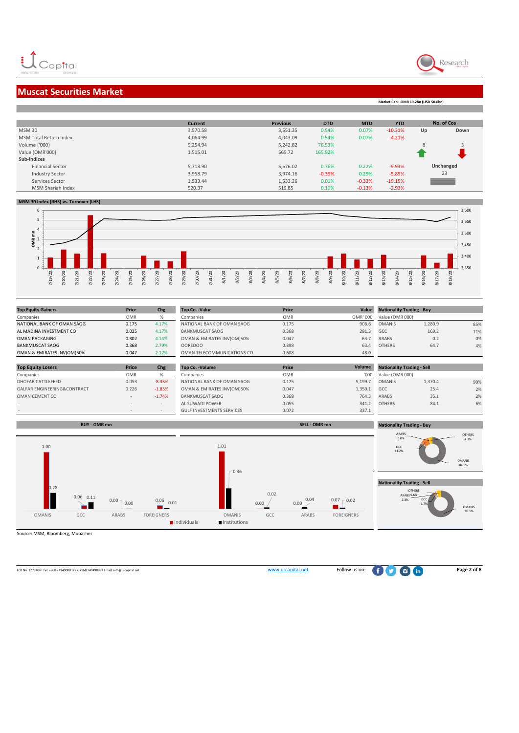



**Market Cap: OMR 19.2bn (USD 50.6bn)**

## **Muscat Securities Market**

|                               | <b>Current</b> | <b>Previous</b> | <b>DTD</b> | <b>MTD</b> | <b>YTD</b> |    | No. of Cos |
|-------------------------------|----------------|-----------------|------------|------------|------------|----|------------|
| <b>MSM30</b>                  | 3,570.58       | 3,551.35        | 0.54%      | 0.07%      | $-10.31%$  | Up | Down       |
| <b>MSM Total Return Index</b> | 4,064.99       | 4,043.09        | 0.54%      | 0.07%      | $-4.21%$   |    |            |
| Volume ('000)                 | 9,254.94       | 5,242.82        | 76.53%     |            |            | 8  |            |
| Value (OMR'000)               | 1,515.01       | 569.72          | 165.92%    |            |            |    |            |
| Sub-Indices                   |                |                 |            |            |            |    |            |
| <b>Financial Sector</b>       | 5,718.90       | 5,676.02        | 0.76%      | 0.22%      | $-9.93%$   |    | Unchanged  |
| <b>Industry Sector</b>        | 3,958.79       | 3,974.16        | $-0.39%$   | 0.29%      | $-5.89%$   |    | 23         |
| Services Sector               | 1,533.44       | 1,533.26        | 0.01%      | $-0.33%$   | $-19.15%$  |    |            |
| MSM Shariah Index             | 520.37         | 519.85          | 0.10%      | $-0.13%$   | $-2.93%$   |    |            |
|                               |                |                 |            |            |            |    |            |

#### **MSM 30 Index (RHS) vs. Turnover (LHS)**



| Price | Chg           |
|-------|---------------|
| OMR   | $\frac{9}{6}$ |
| 0.175 | 4.17%         |
| 0.025 | 4.17%         |
| 0.302 | 4.14%         |
| 0.368 | 2.79%         |
| 0.047 | 2.17%         |
|       |               |
|       |               |

| <b>Top Equity Losers</b>               | <b>Price</b> | Chg           |
|----------------------------------------|--------------|---------------|
| Companies                              | OMR          | $\frac{9}{6}$ |
| <b>DHOFAR CATTLEFEED</b>               | 0.053        | $-8.33%$      |
| <b>GALFAR ENGINEERING&amp;CONTRACT</b> | 0.226        | $-1.85%$      |
| OMAN CEMENT CO                         | $\sim$       | $-1.74%$      |
|                                        | $\sim$       |               |
|                                        |              |               |

| <b>Top Equity Gainers</b>   | <b>Price</b>   | Chg      | <b>Top Co. - Value</b>           | Price      | Value    | <b>Nationality Trading - Buy</b>  |         |     |
|-----------------------------|----------------|----------|----------------------------------|------------|----------|-----------------------------------|---------|-----|
| Companies                   | <b>OMR</b>     | %        | Companies                        | <b>OMR</b> | OMR' 000 | Value (OMR 000)                   |         |     |
| NATIONAL BANK OF OMAN SAOG  | 0.175          | 4.17%    | NATIONAL BANK OF OMAN SAOG       | 0.175      | 908.6    | <b>OMANIS</b>                     | 1,280.9 | 85% |
| AL MADINA INVESTMENT CO     | 0.025          | 4.17%    | <b>BANKMUSCAT SAOG</b>           | 0.368      | 281.3    | GCC                               | 169.2   | 11% |
| OMAN PACKAGING              | 0.302          | 4.14%    | OMAN & EMIRATES INV(OM)50%       | 0.047      | 63.      | ARABS                             | 0.2     | 0%  |
| <b>BANKMUSCAT SAOG</b>      | 0.368          | 2.79%    | <b>OOREDOO</b>                   | 0.398      | 63.4     | <b>OTHERS</b>                     | 64.7    | 4%  |
| OMAN & EMIRATES INV(OM)50%  | 0.047          | 2.17%    | OMAN TELECOMMUNICATIONS CO       | 0.608      | 48.0     |                                   |         |     |
|                             |                |          |                                  |            |          |                                   |         |     |
| <b>Top Equity Losers</b>    | Price          | Chg      | <b>Top Co. - Volume</b>          | Price      | Volume   | <b>Nationality Trading - Sell</b> |         |     |
| Companies                   | <b>OMR</b>     | %        | Companies                        | <b>OMR</b> | '000     | Value (OMR 000)                   |         |     |
| DHOFAR CATTLEFEED           | 0.053          | $-8.33%$ | NATIONAL BANK OF OMAN SAOG       | 0.175      | 5,199.7  | <b>OMANIS</b>                     | 1,370.4 | 90% |
| GALFAR ENGINEERING&CONTRACT | 0.226          | $-1.85%$ | OMAN & EMIRATES INV(OM)50%       | 0.047      | 1,350.1  | GCC                               | 25.4    | 2%  |
| OMAN CEMENT CO              | $\sim$         | $-1.74%$ | <b>BANKMUSCAT SAOG</b>           | 0.368      | 764.3    | ARABS                             | 35.1    | 2%  |
| $\overline{\phantom{a}}$    | $\overline{a}$ |          | AL SUWADI POWER                  | 0.055      | 341.2    | <b>OTHERS</b>                     | 84.1    | 6%  |
| $\sim$                      |                |          | <b>GULF INVESTMENTS SERVICES</b> | 0.072      | 337.1    |                                   |         |     |



Source: MSM, Bloomberg, Mubasher

l CR No. 1279406 l Tel: +968 24949000 l Fax: +968 24949099 l Email: info@u-capital.net www.u-capital.net Follow us on: **Page 2 of 8**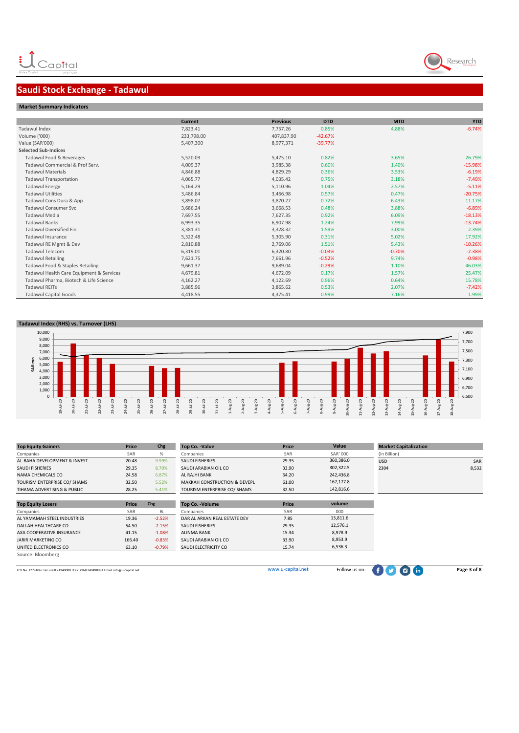# Research

## **Saudi Stock Exchange - Tadawul**

|  |  |  | <b>Market Summary Indicators</b> |
|--|--|--|----------------------------------|
|--|--|--|----------------------------------|

|                                          | <b>Current</b> | <b>Previous</b> | <b>DTD</b> | <b>MTD</b> | <b>YTD</b> |
|------------------------------------------|----------------|-----------------|------------|------------|------------|
| Tadawul Index                            | 7,823.41       | 7,757.26        | 0.85%      | 4.88%      | $-6.74%$   |
| Volume ('000)                            | 233,798.00     | 407,837.90      | $-42.67%$  |            |            |
| Value (SAR'000)                          | 5,407,300      | 8,977,371       | $-39.77%$  |            |            |
| <b>Selected Sub-Indices</b>              |                |                 |            |            |            |
| Tadawul Food & Beverages                 | 5,520.03       | 5,475.10        | 0.82%      | 3.65%      | 26.79%     |
| Tadawul Commercial & Prof Serv.          | 4,009.37       | 3,985.38        | 0.60%      | 1.40%      | $-15.98%$  |
| <b>Tadawul Materials</b>                 | 4,846.88       | 4,829.29        | 0.36%      | 3.53%      | $-6.19%$   |
| <b>Tadawul Transportation</b>            | 4,065.77       | 4,035.42        | 0.75%      | 3.18%      | $-7.49%$   |
| <b>Tadawul Energy</b>                    | 5,164.29       | 5,110.96        | 1.04%      | 2.57%      | $-5.11%$   |
| <b>Tadawul Utilities</b>                 | 3,486.84       | 3,466.98        | 0.57%      | 0.47%      | $-20.75%$  |
| Tadawul Cons Dura & App                  | 3,898.07       | 3,870.27        | 0.72%      | 6.43%      | 11.17%     |
| <b>Tadawul Consumer Svc</b>              | 3,686.24       | 3,668.53        | 0.48%      | 3.88%      | $-6.89%$   |
| <b>Tadawul Media</b>                     | 7,697.55       | 7,627.35        | 0.92%      | 6.09%      | $-18.13%$  |
| <b>Tadawul Banks</b>                     | 6,993.35       | 6,907.98        | 1.24%      | 7.99%      | $-13.74%$  |
| <b>Tadawul Diversified Fin</b>           | 3,381.31       | 3,328.32        | 1.59%      | 3.00%      | 2.39%      |
| <b>Tadawul Insurance</b>                 | 5,322.48       | 5,305.90        | 0.31%      | 5.02%      | 17.92%     |
| Tadawul RE Mgmt & Dev                    | 2,810.88       | 2,769.06        | 1.51%      | 5.43%      | $-10.26%$  |
| <b>Tadawul Telecom</b>                   | 6,319.01       | 6,320.80        | $-0.03%$   | $-0.70%$   | $-2.38%$   |
| <b>Tadawul Retailing</b>                 | 7,621.75       | 7,661.96        | $-0.52%$   | 9.74%      | $-0.98%$   |
| Tadawul Food & Staples Retailing         | 9,661.37       | 9,689.04        | $-0.29%$   | 1.10%      | 46.03%     |
| Tadawul Health Care Equipment & Services | 4,679.81       | 4,672.09        | 0.17%      | 1.57%      | 25.47%     |
| Tadawul Pharma, Biotech & Life Science   | 4,162.27       | 4,122.69        | 0.96%      | 0.64%      | 15.78%     |
| <b>Tadawul REITs</b>                     | 3,885.96       | 3,865.62        | 0.53%      | 2.07%      | $-7.42%$   |
| <b>Tadawul Capital Goods</b>             | 4,418.55       | 4,375.41        | 0.99%      | 7.16%      | 1.99%      |

#### **Tadawul Index (RHS) vs. Turnover (LHS)**



| <b>Top Equity Gainers</b>    | Price  | Chg      | Top Co. - Value              | Price | Value     | <b>Market Capitalization</b> |            |
|------------------------------|--------|----------|------------------------------|-------|-----------|------------------------------|------------|
| Companies                    | SAR    | %        | Companies                    | SAR   | SAR' 000  | (In Billion)                 |            |
| AL-BAHA DEVELOPMENT & INVEST | 20.48  | 9.99%    | <b>SAUDI FISHERIES</b>       | 29.35 | 360,386.0 | <b>USD</b>                   | <b>SAR</b> |
| <b>SAUDI FISHERIES</b>       | 29.35  | 8.70%    | SAUDI ARABIAN OIL CO         | 33.90 | 302,322.5 | 2304                         | 8,532      |
| NAMA CHEMICALS CO            | 24.58  | 6.87%    | <b>AL RAJHI BANK</b>         | 64.20 | 242,436.8 |                              |            |
| TOURISM ENTERPRISE CO/ SHAMS | 32.50  | 5.52%    | MAKKAH CONSTRUCTION & DEVEPL | 61.00 | 167,177.8 |                              |            |
| TIHAMA ADVERTISING & PUBLIC  | 28.25  | 5.41%    | TOURISM ENTERPRISE CO/ SHAMS | 32.50 | 142,816.6 |                              |            |
|                              |        |          |                              |       |           |                              |            |
| <b>Top Equity Losers</b>     | Price  | Chg      | <b>Top Co. - Volume</b>      | Price | volume    |                              |            |
| Companies                    | SAR    | %        | Companies                    | SAR   | 000       |                              |            |
| AL YAMAMAH STEEL INDUSTRIES  | 19.36  | $-2.52%$ | DAR AL ARKAN REAL ESTATE DEV | 7.85  | 13,811.6  |                              |            |
| DALLAH HEALTHCARE CO         | 54.50  | $-2.15%$ | <b>SAUDI FISHERIES</b>       | 29.35 | 12,576.1  |                              |            |
| AXA COOPERATIVE INSURANCE    | 41.15  | $-1.08%$ | <b>ALINMA BANK</b>           | 15.34 | 8,978.9   |                              |            |
| <b>JARIR MARKETING CO</b>    | 166.40 | $-0.83%$ | SAUDI ARABIAN OIL CO         | 33.90 | 8,953.9   |                              |            |
| UNITED ELECTRONICS CO        | 63.10  | $-0.79%$ | SAUDI ELECTRICITY CO         | 15.74 | 6,536.3   |                              |            |
| Source: Bloomberg            |        |          |                              |       |           |                              |            |

LCR No. 1279406 l Tel: +968 24949000 l Fax: +968 24949099 l Email: info@u-capital.net Page 3 of 8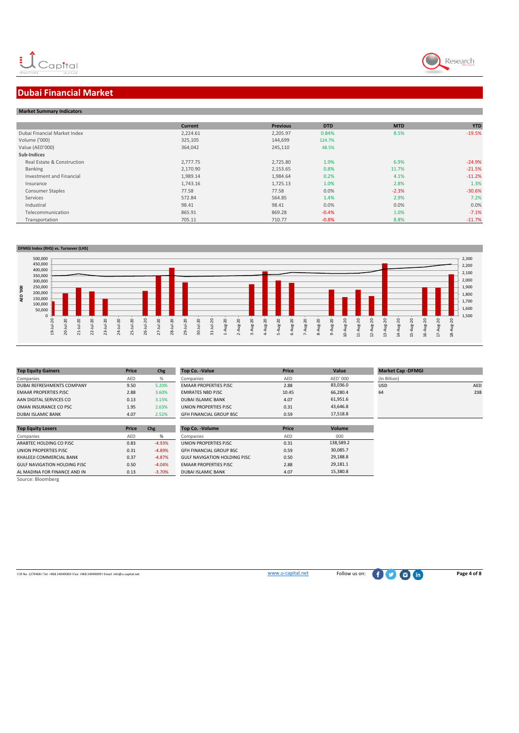

## **Dubai Financial Market**

| <b>Market Summary Indicators</b> |                |                 |            |            |            |
|----------------------------------|----------------|-----------------|------------|------------|------------|
|                                  |                |                 |            |            |            |
|                                  | <b>Current</b> | <b>Previous</b> | <b>DTD</b> | <b>MTD</b> | <b>YTD</b> |
| Dubai Financial Market Index     | 2,224.61       | 2,205.97        | 0.84%      | 8.5%       | $-19.5%$   |
| Volume ('000)                    | 325,105        | 144,699         | 124.7%     |            |            |
| Value (AED'000)                  | 364,042        | 245,110         | 48.5%      |            |            |
| Sub-Indices                      |                |                 |            |            |            |
| Real Estate & Construction       | 2,777.75       | 2,725.80        | 1.9%       | 6.9%       | $-24.9%$   |
| Banking                          | 2,170.90       | 2,153.65        | 0.8%       | 11.7%      | $-21.5%$   |
| Investment and Financial         | 1,989.14       | 1,984.64        | 0.2%       | 4.1%       | $-11.2%$   |
| Insurance                        | 1,743.16       | 1,725.13        | 1.0%       | 2.8%       | 1.3%       |
| <b>Consumer Staples</b>          | 77.58          | 77.58           | 0.0%       | $-2.3%$    | $-30.6%$   |
| Services                         | 572.84         | 564.85          | 1.4%       | 2.9%       | 7.2%       |
| Industiral                       | 98.41          | 98.41           | 0.0%       | 0.0%       | 0.0%       |
| Telecommunication                | 865.91         | 869.28          | $-0.4%$    | 1.0%       | $-7.1%$    |
| Transportation                   | 705.11         | 710.77          | $-0.8%$    | 8.8%       | $-11.7%$   |

#### **DFMGI Index (RHS) vs. Turnover (LHS)**



| <b>Top Equity Gainers</b>    | Price      | Chg   | Top Co. - Value                | Price |
|------------------------------|------------|-------|--------------------------------|-------|
| Companies                    | <b>AFD</b> | %     | Companies                      | AFD   |
| DUBAL REFRESHMENTS COMPANY   | 9.50       | 5.20% | <b>EMAAR PROPERTIES PJSC</b>   | 2.88  |
| <b>EMAAR PROPERTIES PJSC</b> | 2.88       | 3.60% | <b>EMIRATES NBD PJSC</b>       | 10.45 |
| AAN DIGITAL SERVICES CO      | 0.13       | 3.15% | <b>DUBAI ISLAMIC BANK</b>      | 4.07  |
| OMAN INSURANCE CO PSC        | 1.95       | 2.63% | UNION PROPERTIES PJSC          | 0.31  |
| <b>DUBAI ISLAMIC BANK</b>    | 4.07       | 2.52% | <b>GFH FINANCIAL GROUP BSC</b> | 0.59  |

| <b>Top Equity Losers</b>            | <b>Price</b> | Chg      | Top Co. - Volume                    | Price      |
|-------------------------------------|--------------|----------|-------------------------------------|------------|
| Companies                           | AED          | %        | Companies                           | <b>AED</b> |
| ARABTEC HOLDING CO PJSC             | 0.83         | $-4.93%$ | UNION PROPERTIES PJSC               | 0.31       |
| UNION PROPERTIES PJSC               | 0.31         | $-4.89%$ | <b>GFH FINANCIAL GROUP BSC</b>      | 0.59       |
| KHALEEJI COMMERCIAL BANK            | 0.37         | $-4.87%$ | <b>GULF NAVIGATION HOLDING PJSC</b> | 0.50       |
| <b>GULF NAVIGATION HOLDING PJSC</b> | 0.50         | $-4.04%$ | <b>EMAAR PROPERTIES PJSC</b>        | 2.88       |
| AL MADINA FOR FINANCE AND IN        | 0.13         | $-3.70%$ | <b>DUBAI ISLAMIC BANK</b>           | 4.07       |
| Source: Bloomberg                   |              |          |                                     |            |

| <b>Top Equity Gainers</b>    | Price | Chg   | Top Co. - Value                | Price | Value    | <b>Market Cap -DFMGI</b> |            |
|------------------------------|-------|-------|--------------------------------|-------|----------|--------------------------|------------|
| Companies                    | AED   |       | Companies                      | AED   | AED' 000 | (In Billion)             |            |
| DUBAI REFRESHMENTS COMPANY   | 9.50  | 5.20% | <b>EMAAR PROPERTIES PJSC</b>   | 2.88  | 83,036.0 | <b>USD</b>               | <b>AED</b> |
| <b>EMAAR PROPERTIES PJSC</b> | 2.88  | 3.60% | <b>EMIRATES NBD PJSC</b>       | 10.45 | 66,280.4 | 64                       | 238        |
| AAN DIGITAL SERVICES CO      | 0.13  | 3.15% | <b>DUBAI ISLAMIC BANK</b>      | 4.07  | 61,951.6 |                          |            |
| OMAN INSURANCE CO PSC        | 1.95  | 2.63% | UNION PROPERTIES PJSC          | 0.31  | 43.646.8 |                          |            |
| DUBAI ISLAMIC BANK           | 4.07  | 2.52% | <b>GFH FINANCIAL GROUP BSC</b> | 0.59  | 17,518.8 |                          |            |

| op Co. -Volume              | Price      | Volume    |
|-----------------------------|------------|-----------|
| ompanies                    | <b>AFD</b> | 000       |
| NION PROPERTIES PJSC        | 0.31       | 138.589.2 |
| FH FINANCIAL GROUP BSC      | 0.59       | 30,085.7  |
| ULF NAVIGATION HOLDING PJSC | 0.50       | 29.188.8  |
| <b>MAAR PROPERTIES PJSC</b> | 2.88       | 29.181.1  |
| UBAI ISLAMIC BANK           | 4.07       | 15.380.8  |

| <b>Market Cap -DFMGI</b> |            |
|--------------------------|------------|
| (In Billion)             |            |
| <b>USD</b>               | <b>AED</b> |
| 64                       | 238        |
|                          |            |
|                          |            |

LCR No. 1279406 l Tel: +968 24949000 l Fax: +968 24949099 l Email: info@u-capital.net Page 4 of 8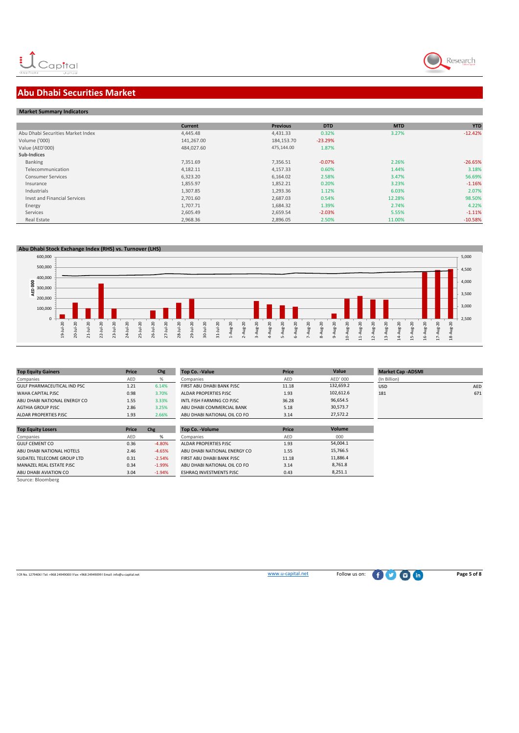

## **Abu Dhabi Securities Market**

|  | <b>Market Summary Indicators</b> |
|--|----------------------------------|

|                                     | <b>Current</b> | <b>Previous</b> | <b>DTD</b> | <b>MTD</b> | <b>YTD</b> |
|-------------------------------------|----------------|-----------------|------------|------------|------------|
| Abu Dhabi Securities Market Index   | 4.445.48       | 4,431.33        | 0.32%      | 3.27%      | $-12.42%$  |
| Volume ('000)                       | 141,267.00     | 184,153.70      | $-23.29%$  |            |            |
| Value (AED'000)                     | 484,027.60     | 475.144.00      | 1.87%      |            |            |
| Sub-Indices                         |                |                 |            |            |            |
| Banking                             | 7,351.69       | 7,356.51        | $-0.07%$   | 2.26%      | $-26.65%$  |
| Telecommunication                   | 4,182.11       | 4.157.33        | 0.60%      | 1.44%      | 3.18%      |
| <b>Consumer Services</b>            | 6,323.20       | 6,164.02        | 2.58%      | 3.47%      | 56.69%     |
| Insurance                           | 1,855.97       | 1,852.21        | 0.20%      | 3.23%      | $-1.16%$   |
| Industrials                         | 1,307.85       | 1,293.36        | 1.12%      | 6.03%      | 2.07%      |
| <b>Invst and Financial Services</b> | 2,701.60       | 2.687.03        | 0.54%      | 12.28%     | 98.50%     |
| Energy                              | 1,707.71       | 1,684.32        | 1.39%      | 2.74%      | 4.22%      |
| Services                            | 2,605.49       | 2,659.54        | $-2.03%$   | 5.55%      | $-1.11%$   |
| Real Estate                         | 2,968.36       | 2,896.05        | 2.50%      | 11.00%     | $-10.58%$  |



| <b>Top Equity Gainers</b>    | Price | Chg   | <b>Top Co. -Value</b>        | Price | Value     | <b>Market C</b> |
|------------------------------|-------|-------|------------------------------|-------|-----------|-----------------|
| Companies                    | AED   | %     | Companies                    | AED   | AED' 000  | (In Billion)    |
| GULF PHARMACEUTICAL IND PSC  | 1.21  | 6.14% | FIRST ABU DHABI BANK PJSC    | 11.18 | 132.659.2 | <b>USD</b>      |
| WAHA CAPITAL PJSC            | 0.98  | 3.70% | ALDAR PROPERTIES PJSC        | 1.93  | 102.612.6 | 181             |
| ABU DHABI NATIONAL ENERGY CO | 1.55  | 3.33% | INTL FISH FARMING CO PISC.   | 36.28 | 96,654.5  |                 |
| AGTHIA GROUP PJSC            | 2.86  | 3.25% | ABU DHABI COMMERCIAL BANK    | 5.18  | 30.573.7  |                 |
| <b>ALDAR PROPERTIES PJSC</b> | 1.93  | 2.66% | ABU DHABI NATIONAL OIL CO FO | 3.14  | 27.572.2  |                 |

| 1.55  | 3.33%    | INTL FISH FARMING CO PISC.   | 36.28                     |
|-------|----------|------------------------------|---------------------------|
|       |          |                              | 5.18                      |
| 1.93  | 2.66%    | ABU DHABI NATIONAL OIL CO FO | 3.14                      |
|       |          |                              |                           |
| Price | Chg      | <b>Top Co. - Volume</b>      | Price                     |
| AED   | %        | Companies                    | AED                       |
| 0.36  | $-4.80%$ | ALDAR PROPERTIES PJSC        | 1.93                      |
| 2.46  | $-4.65%$ | ABU DHABI NATIONAL ENERGY CO | 1.55                      |
| 0.31  | $-2.54%$ | FIRST ABU DHABI BANK PISC    | 11.18                     |
| 0.34  | $-1.99%$ | ABU DHABI NATIONAL OIL CO FO | 3.14                      |
|       | 2.86     | 3.25%                        | ABU DHABI COMMERCIAL BANK |

| Top Co. - Value              | Price      | Value     | <b>Market Cap -ADSMI</b> |            |
|------------------------------|------------|-----------|--------------------------|------------|
| Companies                    | <b>AFD</b> | AFD' 000  | (In Billion)             |            |
| FIRST ABU DHABI BANK PJSC    | 11.18      | 132.659.2 | <b>USD</b>               | <b>AED</b> |
| ALDAR PROPERTIES PJSC        | 1.93       | 102.612.6 | 181                      | 671        |
| INTL FISH FARMING CO PJSC    | 36.28      | 96.654.5  |                          |            |
| ABU DHABI COMMERCIAL BANK    | 5.18       | 30.573.7  |                          |            |
| ABU DHABI NATIONAL OIL CO FO | 3.14       | 27.572.2  |                          |            |

ABU DHABI AVIATION CO 3.04 -1.94% ESHRAQ INVESTMENTS PJSC 0.43 Source: Bloomberg

l CR No. 1279406 l Tel: +968 24949000 l Fax: +968 24949099 l Email: info@u-capital.net www.u-capital.net Follow us on: **Page 5 of 8**

 $\frac{000}{54,004.1}$ 15,766.5 11,886.4 8,761.8  $8,251.1$ 

102,612.6 96,654.5 30,573.7 27,572.2 **Volume**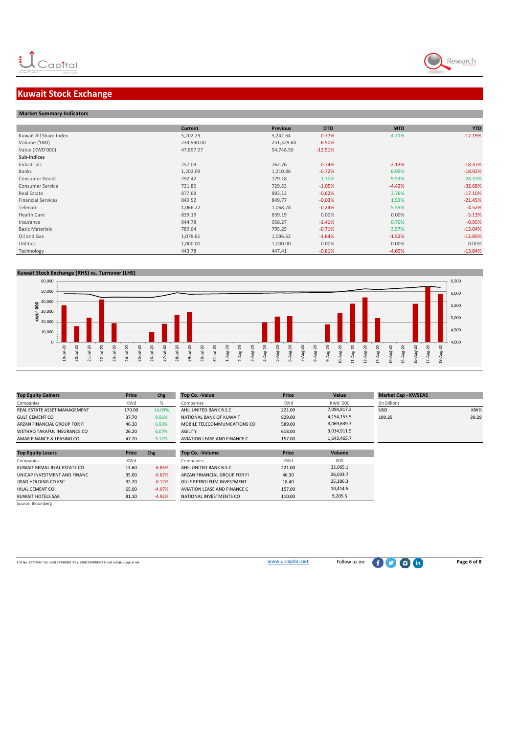

## **Kuwait Stock Exchange**

| <b>Market Summary Indicators</b> |            |                 |            |            |            |
|----------------------------------|------------|-----------------|------------|------------|------------|
|                                  |            |                 |            |            |            |
|                                  | Current    | <b>Previous</b> | <b>DTD</b> | <b>MTD</b> | <b>YTD</b> |
| Kuwait All Share Index           | 5,202.23   | 5,242.64        | $-0.77%$   | 4.71%      | $-17.19%$  |
| Volume ('000)                    | 234,990.00 | 251,329.60      | $-6.50%$   |            |            |
| Value (KWD'000)                  | 47,897.07  | 54,748.50       | $-12.51%$  |            |            |
| Sub-Indices                      |            |                 |            |            |            |
| Industrials                      | 757.09     | 762.76          | $-0.74%$   | $-2.13%$   | $-18.37%$  |
| Banks                            | 1,202.09   | 1,210.86        | $-0.72%$   | 6.95%      | $-18.92%$  |
| Consumer Goods                   | 792.42     | 779.18          | 1.70%      | 9.53%      | 24.37%     |
| <b>Consumer Service</b>          | 721.86     | 729.53          | $-1.05%$   | $-4.42%$   | $-32.68%$  |
| Real Estate                      | 877.68     | 883.13          | $-0.62%$   | 3.76%      | $-17.10%$  |
| <b>Financial Services</b>        | 849.52     | 849.77          | $-0.03%$   | 1.59%      | $-21.45%$  |
| Telecom                          | 1,066.22   | 1,068.78        | $-0.24%$   | 5.55%      | $-4.52%$   |
| Health Care                      | 839.19     | 839.19          | 0.00%      | 0.00%      | $-5.13%$   |
| Insurance                        | 944.78     | 958.27          | $-1.41%$   | 0.70%      | $-0.95%$   |
| <b>Basic Materials</b>           | 789.64     | 795.25          | $-0.71%$   | 3.57%      | $-13.04%$  |
| Oil and Gas                      | 1,078.61   | 1,096.62        | $-1.64%$   | $-1.52%$   | $-12.89%$  |
| Utilities                        | 1,000.00   | 1,000.00        | 0.00%      | 0.00%      | 0.00%      |
| Technology                       | 443.78     | 447.41          | $-0.81%$   | $-4.69%$   | $-13.84%$  |
|                                  |            |                 |            |            |            |

#### **Kuwait Stock Exchange (RHS) vs. Turnover (LHS)**



| <b>Top Equity Gainers</b>    | Price      | Chg      | Top Co. - Value                  | Price  | Value       | <b>Market Cap - KWSEAS</b> |            |
|------------------------------|------------|----------|----------------------------------|--------|-------------|----------------------------|------------|
| Companies                    | <b>KWd</b> | %        | Companies                        | KWd    | KWd '000    | (In Billion)               |            |
| REAL ESTATE ASSET MANAGEMENT | 170.00     | 14.09%   | AHLI UNITED BANK B.S.C           | 221.00 | 7,094,817.3 | <b>USD</b>                 | <b>KWD</b> |
| <b>GULF CEMENT CO</b>        | 37.70      | 9.91%    | NATIONAL BANK OF KUWAIT          | 829.00 | 4,154,153.5 | 100.25                     | 30.29      |
| ARZAN FINANCIAL GROUP FOR FI | 46.30      | 6.93%    | MOBILE TELECOMMUNICATIONS CO     | 589.00 | 3,069,639.7 |                            |            |
| WETHAQ TAKAFUL INSURANCE CO  | 26.20      | 6.07%    | <b>AGILITY</b>                   | 618.00 | 3,034,911.5 |                            |            |
| AMAR FINANCE & LEASING CO    | 47.20      | 5.12%    | AVIATION LEASE AND FINANCE C     | 157.00 | 1,643,465.7 |                            |            |
|                              |            |          |                                  |        |             |                            |            |
| <b>Top Equity Losers</b>     | Price      | Chg      | Top Co. - Volume                 | Price  | Volume      |                            |            |
| Companies                    | KWd        |          | Companies                        | KWd    | 000         |                            |            |
| KUWAIT REMAL REAL ESTATE CO  | 13.60      | $-6.85%$ | AHLI UNITED BANK B.S.C           | 221.00 | 32,065.1    |                            |            |
| UNICAP INVESTMENT AND FINANC | 35.00      | $-6.67%$ | ARZAN FINANCIAL GROUP FOR FI     | 46.30  | 26,033.7    |                            |            |
| JIYAD HOLDING CO KSC         | 32.20      | $-6.12%$ | <b>GULF PETROLEUM INVESTMENT</b> | 18.40  | 25,206.3    |                            |            |
| HILAL CEMENT CO              | 65.00      | $-4.97%$ | AVIATION LEASE AND FINANCE C     | 157.00 | 10,414.5    |                            |            |
| KUWAIT HOTELS SAK            | 81.10      | $-4.92%$ | NATIONAL INVESTMENTS CO          | 110.00 | 9,205.5     |                            |            |

l CR No. 1279406 l Tel: +968 24949000 l Fax: +968 24949099 l Email: info@u-capital.net www.u-capital.net Follow us on: **Page 6 of 8**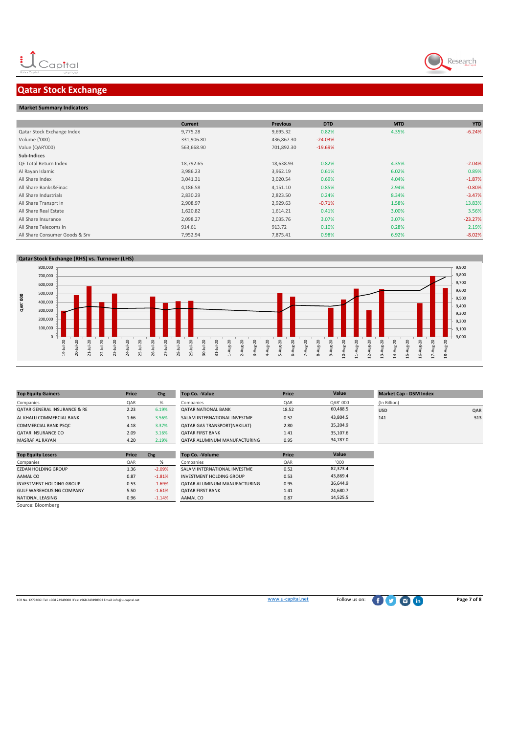## **Qatar Stock Exchange**

#### **Market Summary Indicators**

|                                | <b>Current</b> | <b>Previous</b> | <b>DTD</b> | <b>MTD</b> | <b>YTD</b> |
|--------------------------------|----------------|-----------------|------------|------------|------------|
| Qatar Stock Exchange Index     | 9,775.28       | 9,695.32        | 0.82%      | 4.35%      | $-6.24%$   |
| Volume ('000)                  | 331,906.80     | 436,867.30      | $-24.03%$  |            |            |
| Value (QAR'000)                | 563,668.90     | 701,892.30      | $-19.69%$  |            |            |
| Sub-Indices                    |                |                 |            |            |            |
| <b>QE Total Return Index</b>   | 18,792.65      | 18,638.93       | 0.82%      | 4.35%      | $-2.04%$   |
| Al Rayan Islamic               | 3,986.23       | 3,962.19        | 0.61%      | 6.02%      | 0.89%      |
| All Share Index                | 3,041.31       | 3,020.54        | 0.69%      | 4.04%      | $-1.87%$   |
| All Share Banks&Finac          | 4,186.58       | 4,151.10        | 0.85%      | 2.94%      | $-0.80%$   |
| All Share Industrials          | 2,830.29       | 2,823.50        | 0.24%      | 8.34%      | $-3.47%$   |
| All Share Transprt In          | 2,908.97       | 2,929.63        | $-0.71%$   | 1.58%      | 13.83%     |
| All Share Real Estate          | 1,620.82       | 1,614.21        | 0.41%      | 3.00%      | 3.56%      |
| All Share Insurance            | 2,098.27       | 2,035.76        | 3.07%      | 3.07%      | $-23.27%$  |
| All Share Telecoms In          | 914.61         | 913.72          | 0.10%      | 0.28%      | 2.19%      |
| All Share Consumer Goods & Srv | 7,952.94       | 7,875.41        | 0.98%      | 6.92%      | $-8.02%$   |



| <b>Top Equity Gainers</b>               | Price | Chg      | Top Co. - Value                 | Price | Value    | <b>Market Cap - DSM Index</b> |     |
|-----------------------------------------|-------|----------|---------------------------------|-------|----------|-------------------------------|-----|
| Companies                               | QAR   | %        | Companies                       | QAR   | QAR' 000 | (In Billion)                  |     |
| <b>QATAR GENERAL INSURANCE &amp; RE</b> | 2.23  | 6.19%    | <b>QATAR NATIONAL BANK</b>      | 18.52 | 60,488.5 | <b>USD</b>                    | QAR |
| AL KHALIJ COMMERCIAL BANK               | 1.66  | 3.56%    | SALAM INTERNATIONAL INVESTME    | 0.52  | 43,804.5 | 141                           | 513 |
| COMMERCIAL BANK PSQC                    | 4.18  | 3.37%    | QATAR GAS TRANSPORT(NAKILAT)    | 2.80  | 35,204.9 |                               |     |
| <b>QATAR INSURANCE CO</b>               | 2.09  | 3.16%    | <b>QATAR FIRST BANK</b>         | 1.41  | 35,107.6 |                               |     |
| <b>MASRAF AL RAYAN</b>                  | 4.20  | 2.19%    | QATAR ALUMINUM MANUFACTURING    | 0.95  | 34,787.0 |                               |     |
|                                         |       |          |                                 |       |          |                               |     |
| <b>Top Equity Losers</b>                | Price | Chg      | <b>Top Co. - Volume</b>         | Price | Value    |                               |     |
| Companies                               | QAR   | %        | Companies                       | QAR   | '000     |                               |     |
| <b>EZDAN HOLDING GROUP</b>              | 1.36  | $-2.09%$ | SALAM INTERNATIONAL INVESTME    | 0.52  | 82,373.4 |                               |     |
| AAMAL CO                                | 0.87  | $-1.81%$ | <b>INVESTMENT HOLDING GROUP</b> | 0.53  | 43,869.4 |                               |     |
| INVESTMENT HOLDING GROUP                | 0.53  | $-1.69%$ | QATAR ALUMINUM MANUFACTURING    | 0.95  | 36,644.9 |                               |     |
| <b>GULF WAREHOUSING COMPANY</b>         | 5.50  | $-1.61%$ | <b>QATAR FIRST BANK</b>         | 1.41  | 24,680.7 |                               |     |
| NATIONAL LEASING                        | 0.96  | $-1.14%$ | AAMAL CO                        | 0.87  | 14,525.5 |                               |     |
| Source: Bloomberg                       |       |          |                                 |       |          |                               |     |

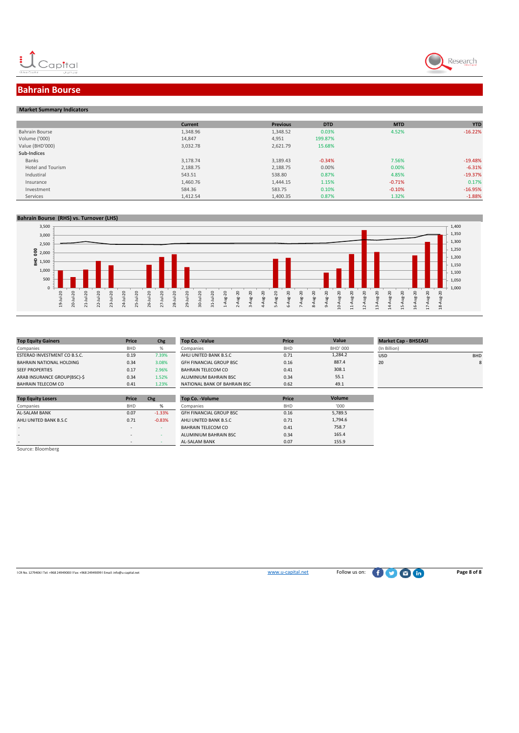



### **Bahrain Bourse**

#### **Market Summary Indicators**

|                          | <b>Current</b> | <b>Previous</b> | <b>DTD</b> | <b>MTD</b> | <b>YTD</b> |
|--------------------------|----------------|-----------------|------------|------------|------------|
| Bahrain Bourse           | 1,348.96       | 1,348.52        | 0.03%      | 4.52%      | $-16.22%$  |
| Volume ('000)            | 14,847         | 4,951           | 199.87%    |            |            |
| Value (BHD'000)          | 3,032.78       | 2,621.79        | 15.68%     |            |            |
| Sub-Indices              |                |                 |            |            |            |
| Banks                    | 3,178.74       | 3,189.43        | $-0.34%$   | 7.56%      | $-19.48%$  |
| <b>Hotel and Tourism</b> | 2,188.75       | 2,188.75        | 0.00%      | 0.00%      | $-6.31%$   |
| Industiral               | 543.51         | 538.80          | 0.87%      | 4.85%      | $-19.37%$  |
| Insurance                | 1,460.76       | 1,444.15        | 1.15%      | $-0.71%$   | 0.17%      |
| Investment               | 584.36         | 583.75          | 0.10%      | $-0.10%$   | $-16.95%$  |
| Services                 | 1.412.54       | 1,400.35        | 0.87%      | 1.32%      | $-1.88%$   |

#### **Bahrain Bourse (RHS) vs. Turnover (LHS)**



| <b>Top Equity Gainers</b>       | Price      | Chg   | Top Co. - Value                | Price      |
|---------------------------------|------------|-------|--------------------------------|------------|
| Companies                       | <b>BHD</b> | %     | Companies                      | <b>BHD</b> |
| ESTERAD INVESTMENT CO B.S.C.    | 0.19       | 7.39% | AHLI UNITED BANK B.S.C         | 0.71       |
| <b>BAHRAIN NATIONAL HOLDING</b> | 0.34       | 3.08% | <b>GFH FINANCIAL GROUP BSC</b> | 0.16       |
| <b>SEEF PROPERTIES</b>          | 0.17       | 2.96% | <b>BAHRAIN TELECOM CO</b>      | 0.41       |
| ARAB INSURANCE GROUP(BSC)-S     | 0.34       | 1.52% | ALUMINIUM BAHRAIN BSC          | 0.34       |
| <b>BAHRAIN TELECOM CO</b>       | 0.41       | 1.23% | NATIONAL BANK OF BAHRAIN BSC   | 0.62       |

| <b>Top Equity Gainers</b>    | Price      | Chg   | Top Co. -Value                 | Price      | Value           | <b>Market Cap - BHSEASI</b> |            |
|------------------------------|------------|-------|--------------------------------|------------|-----------------|-----------------------------|------------|
| Companies                    | <b>BHD</b> | %     | Companies                      | <b>BHD</b> | <b>BHD' 000</b> | (In Billion)                |            |
| ESTERAD INVESTMENT CO B.S.C. | 0.19       | 7.39% | AHLI UNITED BANK B.S.C         | 0.71       | 1.284.2         | <b>USD</b>                  | <b>BHD</b> |
| BAHRAIN NATIONAL HOLDING     | 0.34       | 3.08% | <b>GFH FINANCIAL GROUP BSC</b> | 0.16       | 887.4           | 20                          |            |
| <b>SEEF PROPERTIES</b>       | 0.17       | 2.96% | <b>BAHRAIN TELECOM CO</b>      | 0.41       | 308.1           |                             |            |
| ARAB INSURANCE GROUP(BSC)-\$ | 0.34       | 1.52% | ALUMINIUM BAHRAIN BSC          | 0.34       | 55.1            |                             |            |
| BAHRAIN TELECOM CO           | 0.41       | 1.23% | NATIONAL BANK OF BAHRAIN BSC   | 0.62       | 49.1            |                             |            |
|                              |            |       |                                |            |                 |                             |            |

| <b>Top Equity Losers</b> | Price                    | Chg      | Top Co. - Volume               | Price      | Volume  |
|--------------------------|--------------------------|----------|--------------------------------|------------|---------|
| Companies                | <b>BHD</b>               | %        | Companies                      | <b>BHD</b> | '000'   |
| <b>AL-SALAM BANK</b>     | 0.07                     | $-1.33%$ | <b>GFH FINANCIAL GROUP BSC</b> | 0.16       | 5,789.5 |
| AHLI UNITED BANK B.S.C   | 0.71                     | $-0.83%$ | AHLI UNITED BANK B.S.C         | 0.71       | 1,794.6 |
| $-1$                     |                          |          | <b>BAHRAIN TELECOM CO</b>      | 0.41       | 758.7   |
|                          | $\overline{\phantom{a}}$ |          | ALUMINIUM BAHRAIN BSC          | 0.34       | 165.4   |
| $\sim$                   |                          |          | <b>AL-SALAM BANK</b>           | 0.07       | 155.9   |

Source: Bloomberg

l CR No. 1279406 l Tel: +968 24949000 l Fax: +968 24949099 l Email: info@u-capital.net www.u-capital.net Follow us on: **Page 8 of 8**